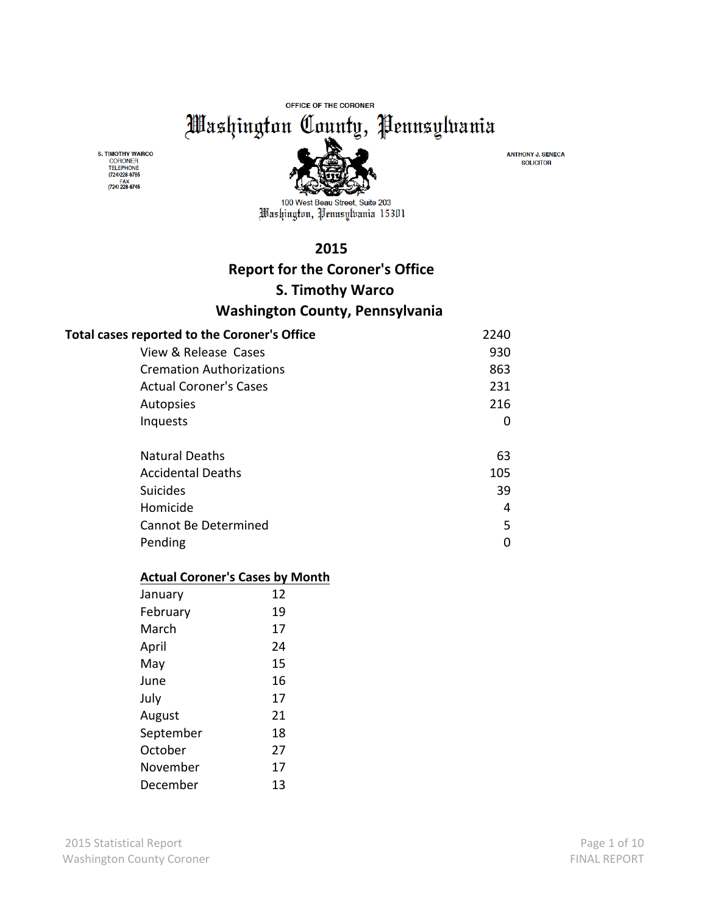OFFICE OF THE CORONER

Washington County, Pennsylvania

S. TIMOTHY WARCO CORONER<br>TELEPHONE<br>(724)228-6785 FAX<br>(724) 228-6745



100 West Beau Street, Suite 203 Mashington, Pennsylvania 15301

### **2015**

# **Report for the Coroner's Office**

# **S. Timothy Warco**

# **Washington County, Pennsylvania**

| Total cases reported to the Coroner's Office | 2240 |
|----------------------------------------------|------|
| View & Release Cases                         | 930  |
| <b>Cremation Authorizations</b>              | 863  |
| <b>Actual Coroner's Cases</b>                | 231  |
| Autopsies                                    | 216  |
| Inquests                                     | 0    |
| <b>Natural Deaths</b>                        | 63   |
| <b>Accidental Deaths</b>                     | 105  |
| <b>Suicides</b>                              | 39   |
| Homicide                                     | 4    |
| Cannot Be Determined                         | 5    |
| Pending                                      | 0    |

#### **Actual Coroner's Cases by Month**

| January   | 12 |
|-----------|----|
| February  | 19 |
| March     | 17 |
| April     | 24 |
| May       | 15 |
| June      | 16 |
| July      | 17 |
| August    | 21 |
| September | 18 |
| October   | 27 |
| November  | 17 |
| December  | 13 |

**ANTHONY J. SENECA SOLICITOR**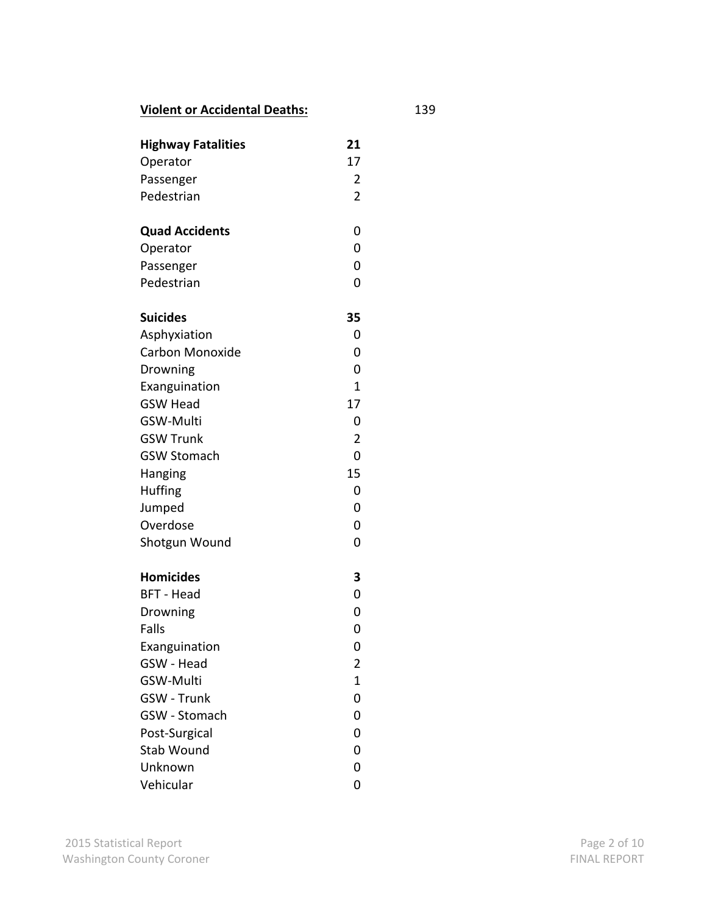# **Violent or Accidental Deaths:** 139

| <b>Highway Fatalities</b> | 21<br>17            |
|---------------------------|---------------------|
| Operator                  |                     |
| Passenger<br>Pedestrian   | 2<br>$\overline{2}$ |
|                           |                     |
| <b>Quad Accidents</b>     | 0                   |
| Operator                  | 0                   |
| Passenger                 | 0                   |
| Pedestrian                | 0                   |
| <b>Suicides</b>           | 35                  |
| Asphyxiation              | 0                   |
| <b>Carbon Monoxide</b>    | 0                   |
| Drowning                  | 0                   |
| Exanguination             | $\mathbf{1}$        |
| <b>GSW Head</b>           | 17                  |
| <b>GSW-Multi</b>          | 0                   |
| <b>GSW Trunk</b>          | $\overline{2}$      |
| <b>GSW Stomach</b>        | 0                   |
| Hanging                   | 15                  |
| <b>Huffing</b>            | 0                   |
| Jumped                    | 0                   |
| Overdose                  | 0                   |
| Shotgun Wound             | 0                   |
| <b>Homicides</b>          | 3                   |
| <b>BFT - Head</b>         | 0                   |
| Drowning                  | 0                   |
| <b>Falls</b>              | 0                   |
| Exanguination             | 0                   |
| GSW - Head                | 2                   |
| <b>GSW-Multi</b>          | $\mathbf{1}$        |
| <b>GSW - Trunk</b>        | 0                   |
| GSW - Stomach             | 0                   |
| Post-Surgical             | 0                   |
| Stab Wound                | 0                   |
| Unknown                   | 0                   |
| Vehicular                 | 0                   |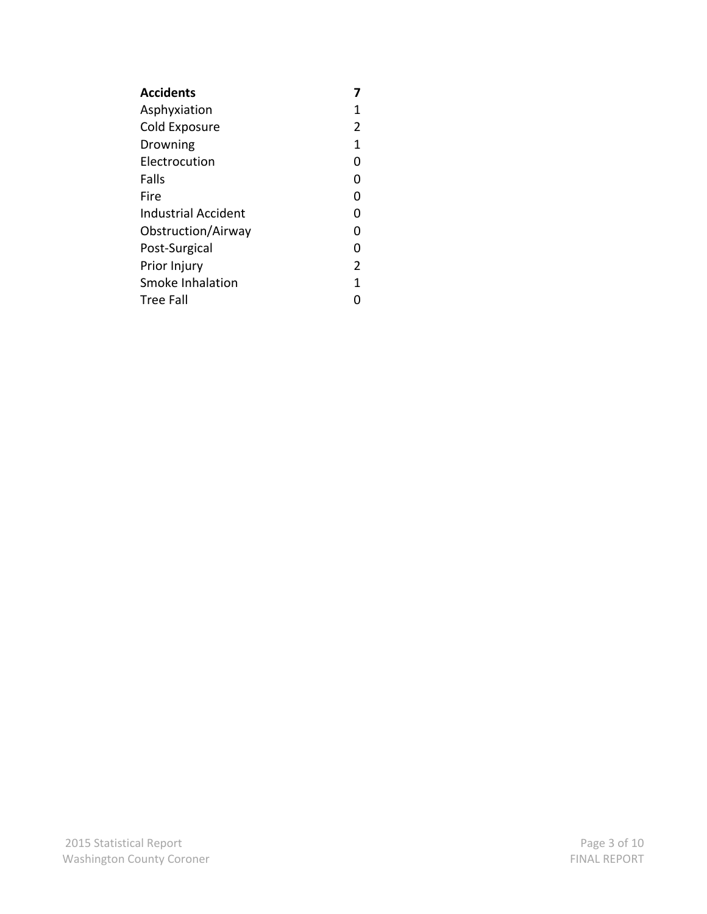| <b>Accidents</b>     |   |
|----------------------|---|
| Asphyxiation         | 1 |
| Cold Exposure        | 2 |
| Drowning             | 1 |
| <b>Electrocution</b> | O |
| Falls                | O |
| Fire                 | O |
| Industrial Accident  | O |
| Obstruction/Airway   | O |
| Post-Surgical        | O |
| Prior Injury         | 2 |
| Smoke Inhalation     | 1 |
| Tree Fall            |   |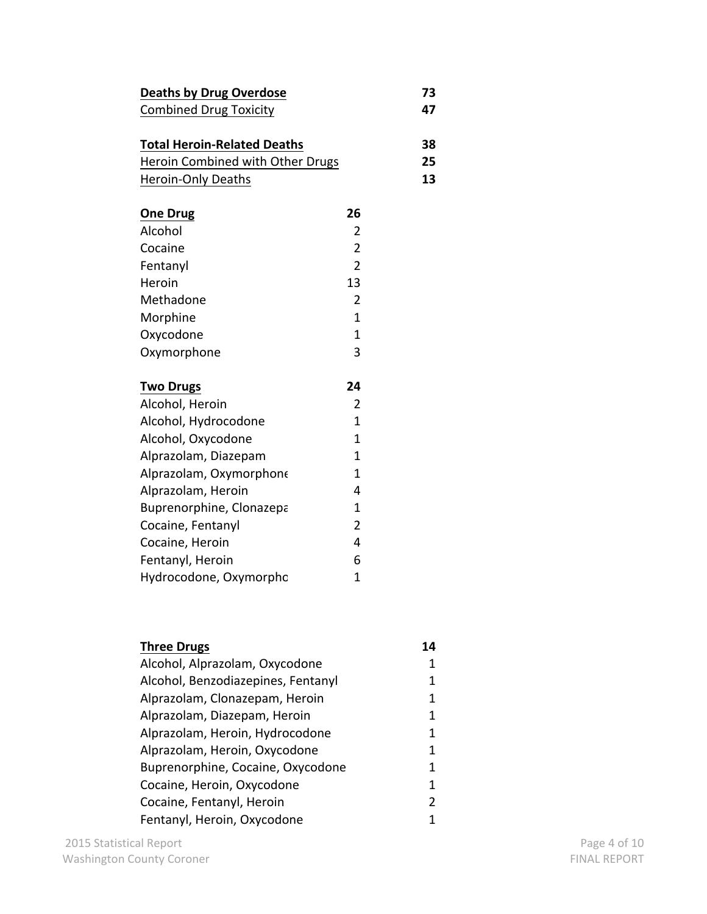| <b>Deaths by Drug Overdose</b>     |                | 73 |
|------------------------------------|----------------|----|
| <b>Combined Drug Toxicity</b>      |                | 47 |
|                                    |                |    |
| <b>Total Heroin-Related Deaths</b> |                | 38 |
| Heroin Combined with Other Drugs   |                | 25 |
| Heroin-Only Deaths                 |                | 13 |
|                                    |                |    |
| <b>One Drug</b>                    | 26             |    |
| Alcohol                            | 2              |    |
| Cocaine                            | $\overline{2}$ |    |
| Fentanyl                           | 2              |    |
| Heroin                             | 13             |    |
| Methadone                          | 2              |    |
| Morphine                           | 1              |    |
| Oxycodone                          | 1              |    |
| Oxymorphone                        | 3              |    |
|                                    |                |    |
| <b>Two Drugs</b>                   | 24             |    |
| Alcohol, Heroin                    | 2              |    |
| Alcohol, Hydrocodone               | 1              |    |

| Oxymorphone              | 3              |
|--------------------------|----------------|
| <b>Two Drugs</b>         | 24             |
| Alcohol, Heroin          | 2              |
| Alcohol, Hydrocodone     | 1              |
| Alcohol, Oxycodone       | 1              |
| Alprazolam, Diazepam     | 1              |
| Alprazolam, Oxymorphone  | 1              |
| Alprazolam, Heroin       | 4              |
| Buprenorphine, Clonazepa | 1              |
| Cocaine, Fentanyl        | $\overline{2}$ |
| Cocaine, Heroin          | 4              |
| Fentanyl, Heroin         | 6              |
| Hydrocodone, Oxymorphc   | 1              |
|                          |                |

| <b>Three Drugs</b>                 | 14 |
|------------------------------------|----|
| Alcohol, Alprazolam, Oxycodone     | 1  |
| Alcohol, Benzodiazepines, Fentanyl | 1  |
| Alprazolam, Clonazepam, Heroin     | 1  |
| Alprazolam, Diazepam, Heroin       | 1  |
| Alprazolam, Heroin, Hydrocodone    | 1  |
| Alprazolam, Heroin, Oxycodone      | 1  |
| Buprenorphine, Cocaine, Oxycodone  | 1  |
| Cocaine, Heroin, Oxycodone         | 1  |
| Cocaine, Fentanyl, Heroin          | 2  |
| Fentanyl, Heroin, Oxycodone        | 1  |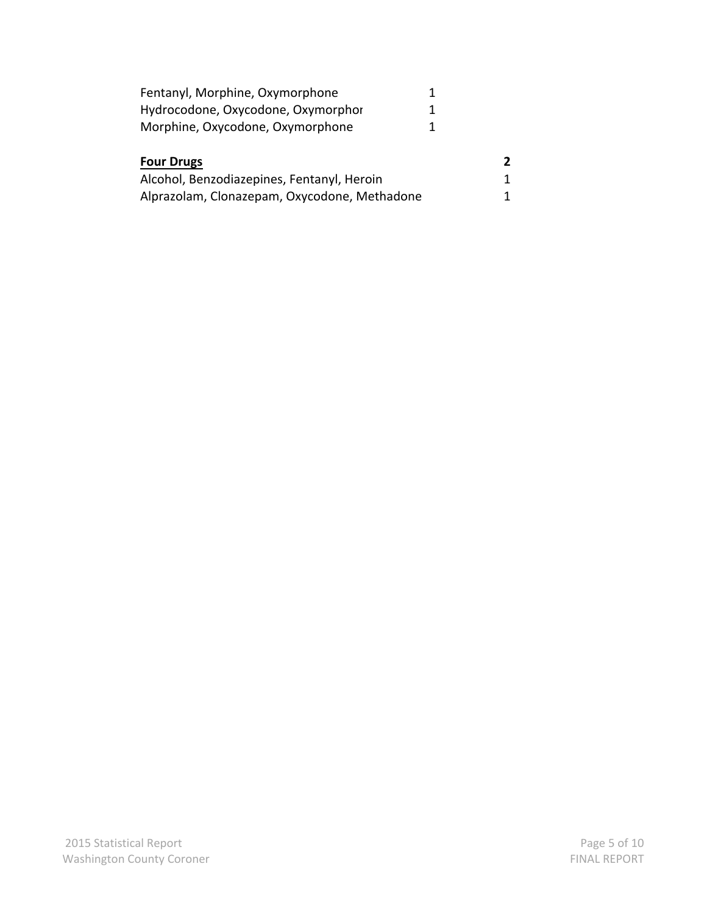| Fentanyl, Morphine, Oxymorphone            |  |
|--------------------------------------------|--|
| Hydrocodone, Oxycodone, Oxymorphor         |  |
| Morphine, Oxycodone, Oxymorphone           |  |
|                                            |  |
| <b>Four Drugs</b>                          |  |
| Alcohol, Benzodiazepines, Fentanyl, Heroin |  |
|                                            |  |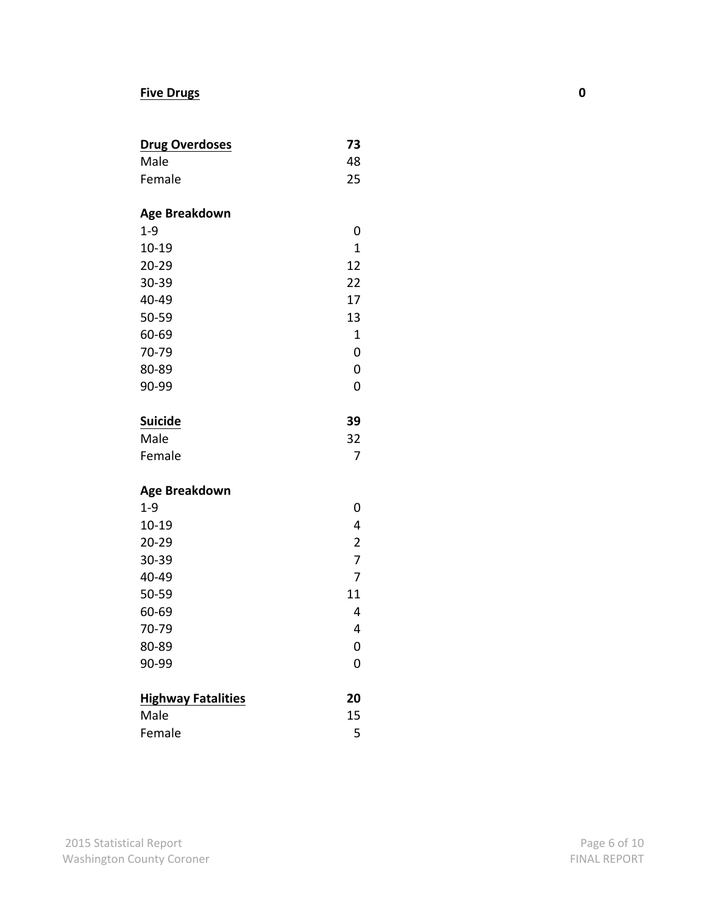### **Five Drugs 0**

| <b>Drug Overdoses</b> | 73 |
|-----------------------|----|
| Male                  | 48 |
| Female                | 25 |

# **Age Breakdown**

| $1 - 9$   | 0  |
|-----------|----|
| $10 - 19$ | 1  |
| $20 - 29$ | 12 |
| 30-39     | 22 |
| 40-49     | 17 |
| 50-59     | 13 |
| 60-69     | 1  |
| 70-79     | 0  |
| 80-89     | 0  |
| 90-99     | ი  |
|           |    |

# **Suicide 39**

| Male   | 32 |
|--------|----|
| Female |    |

# **Age Breakdown**

| $1 - 9$                   | U              |
|---------------------------|----------------|
| 10-19                     | 4              |
| $20 - 29$                 | $\overline{2}$ |
| 30-39                     | 7              |
| 40-49                     | 7              |
| 50-59                     | 11             |
| 60-69                     | 4              |
| 70-79                     | 4              |
| 80-89                     | 0              |
| 90-99                     | 0              |
|                           |                |
| <b>Highway Fatalities</b> | 20             |

| Male   | 15 |
|--------|----|
| Female |    |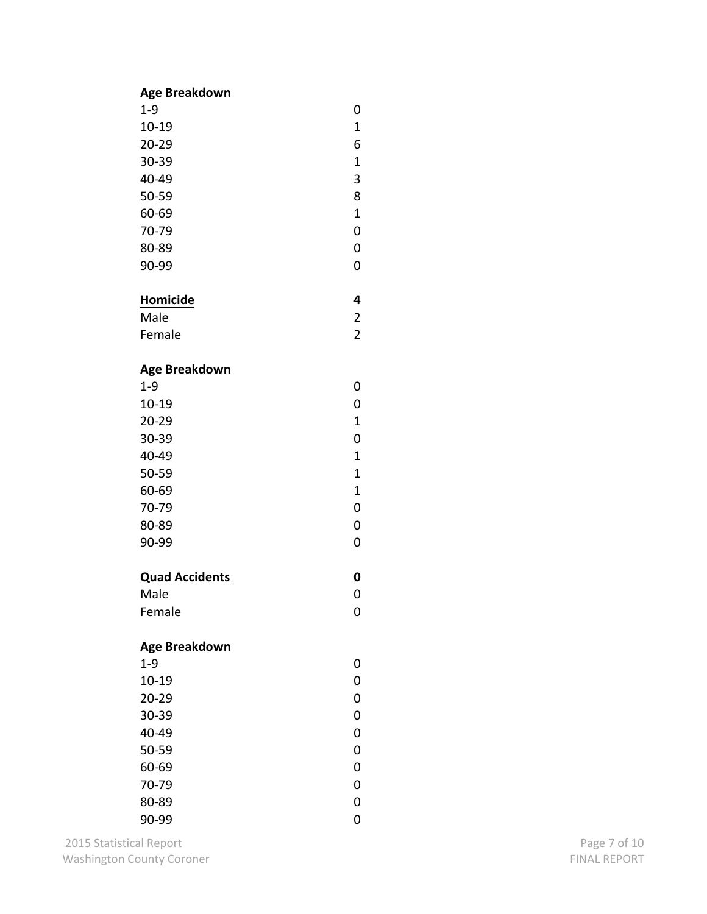#### **Age Breakdown**

| $1 - 9$   | 0           |
|-----------|-------------|
| $10 - 19$ | $\mathbf 1$ |
| $20 - 29$ | 6           |
| 30-39     | $\mathbf 1$ |
| 40-49     | 3           |
| 50-59     | 8           |
| 60-69     | $\mathbf 1$ |
| 70-79     | 0           |
| 80-89     | 0           |
| 90-99     | ი           |

# **Homicide**

| Male   |  |
|--------|--|
| Female |  |

**4**

**0**

0

0

### **Age Breakdown**

| $1 - 9$   |   |
|-----------|---|
| $10 - 19$ | 0 |
| $20 - 29$ | 1 |
| 30-39     | 0 |
| 40-49     | 1 |
| 50-59     | 1 |
| 60-69     | 1 |
| 70-79     | 0 |
| 80-89     | 0 |
| 90-99     | O |

### **Quad Accidents**

| Male   |  |
|--------|--|
| Female |  |

### **Age Breakdown**

| ი |
|---|
| O |
| O |
| O |
| ი |
| U |
| O |
| O |
|   |
|   |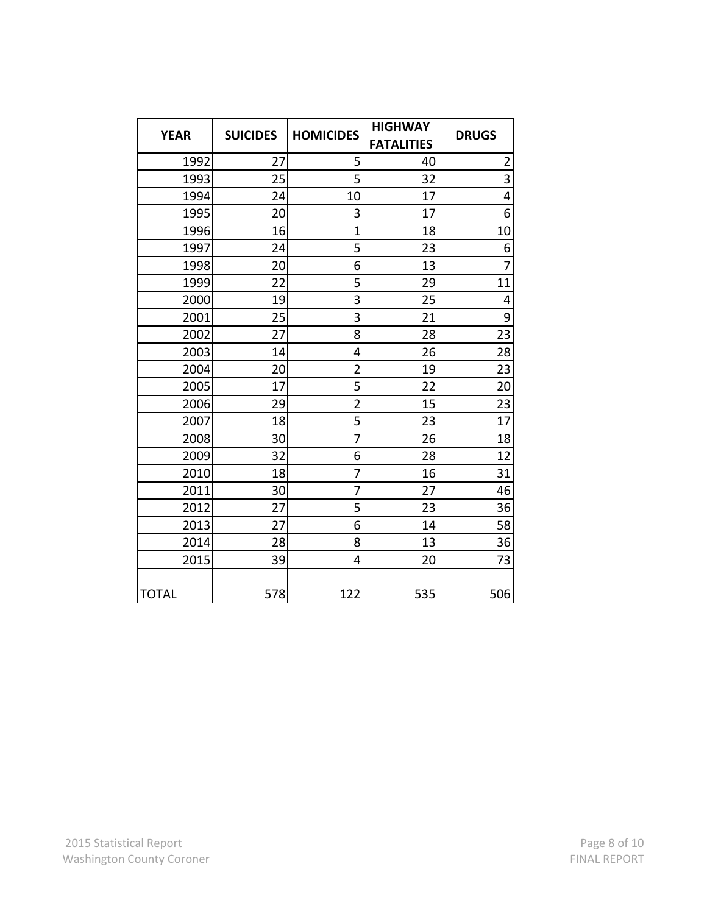| <b>YEAR</b>  | <b>SUICIDES</b> | <b>HOMICIDES</b> | <b>HIGHWAY</b><br><b>FATALITIES</b> | <b>DRUGS</b>                              |
|--------------|-----------------|------------------|-------------------------------------|-------------------------------------------|
| 1992         | 27              | 5                | 40                                  |                                           |
|              | 25              | 5                | 32                                  | $\overline{\mathbf{c}}$<br>$\overline{3}$ |
| 1993         |                 |                  |                                     |                                           |
| 1994         | 24              | 10               | 17                                  | 4                                         |
| 1995         | 20              | 3                | 17                                  | 6                                         |
| 1996         | 16              | $\overline{1}$   | 18                                  | 10                                        |
| 1997         | 24              | 5                | 23                                  | 6                                         |
| 1998         | 20              | 6                | 13                                  | $\overline{7}$                            |
| 1999         | 22              | 5                | 29                                  | 11                                        |
| 2000         | 19              | 3                | 25                                  | 4                                         |
| 2001         | 25              | 3                | 21                                  | 9                                         |
| 2002         | 27              | 8                | 28                                  | 23                                        |
| 2003         | 14              | 4                | 26                                  | 28                                        |
| 2004         | 20              | $\overline{2}$   | 19                                  | 23                                        |
| 2005         | 17              | 5                | 22                                  | 20                                        |
| 2006         | 29              | $\overline{2}$   | 15                                  | 23                                        |
| 2007         | 18              | 5                | 23                                  | 17                                        |
| 2008         | 30              | 7                | 26                                  | 18                                        |
| 2009         | 32              | 6                | 28                                  | 12                                        |
| 2010         | 18              | 7                | 16                                  | 31                                        |
| 2011         | 30              | 7                | 27                                  | 46                                        |
| 2012         | 27              | 5                | 23                                  | 36                                        |
| 2013         | 27              | 6                | 14                                  | 58                                        |
| 2014         | 28              | 8                | 13                                  | 36                                        |
| 2015         | 39              | 4                | 20                                  | 73                                        |
| <b>TOTAL</b> | 578             | 122              | 535                                 | 506                                       |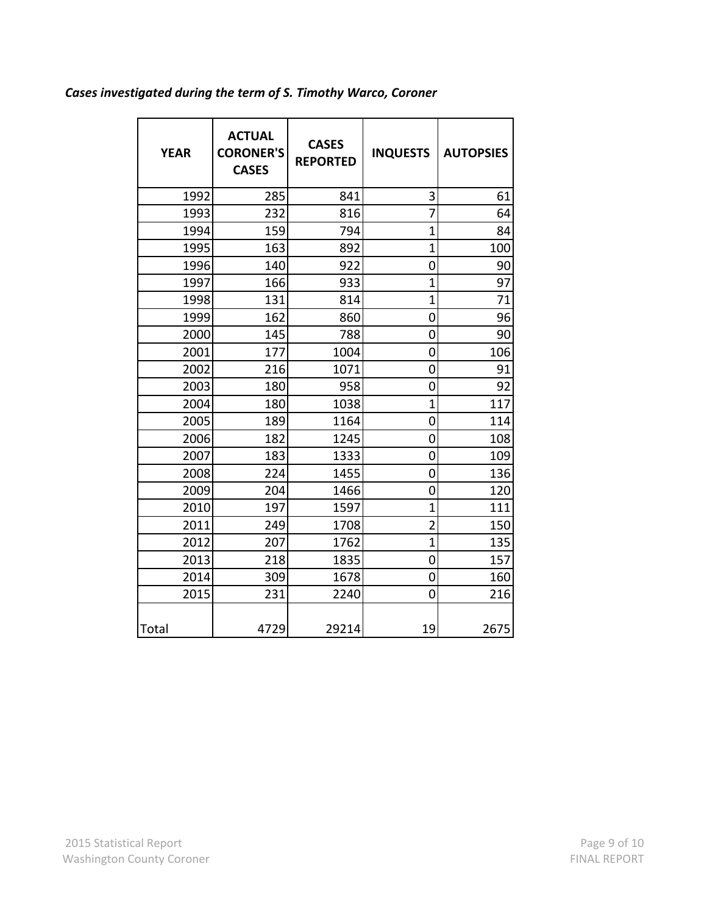# Cases investigated during the term of S. Timothy Warco, Coroner

| <b>YEAR</b> | <b>ACTUAL</b><br><b>CORONER'S</b><br><b>CASES</b> | <b>CASES</b><br><b>REPORTED</b> | <b>INQUESTS</b> | <b>AUTOPSIES</b> |
|-------------|---------------------------------------------------|---------------------------------|-----------------|------------------|
| 1992        | 285                                               | 841                             | 3               | 61               |
| 1993        | 232                                               | 816                             | $\overline{7}$  | 64               |
| 1994        | 159                                               | 794                             | $\overline{1}$  | 84               |
| 1995        | 163                                               | 892                             | $\overline{1}$  | 100              |
| 1996        | 140                                               | 922                             | 0               | 90               |
| 1997        | 166                                               | 933                             | $\overline{1}$  | 97               |
| 1998        | 131                                               | 814                             | $\mathbf 1$     | 71               |
| 1999        | 162                                               | 860                             | $\overline{0}$  | 96               |
| 2000        | 145                                               | 788                             | 0               | 90               |
| 2001        | 177                                               | 1004                            | 0               | 106              |
| 2002        | 216                                               | 1071                            | 0               | 91               |
| 2003        | 180                                               | 958                             | 0               | 92               |
| 2004        | 180                                               | 1038                            | $\overline{1}$  | 117              |
| 2005        | 189                                               | 1164                            | 0               | 114              |
| 2006        | 182                                               | 1245                            | 0               | 108              |
| 2007        | 183                                               | 1333                            | 0               | 109              |
| 2008        | 224                                               | 1455                            | 0               | 136              |
| 2009        | 204                                               | 1466                            | 0               | 120              |
| 2010        | 197                                               | 1597                            | $\overline{1}$  | 111              |
| 2011        | 249                                               | 1708                            | $\overline{2}$  | 150              |
| 2012        | 207                                               | 1762                            | $\overline{1}$  | 135              |
| 2013        | 218                                               | 1835                            | 0               | 157              |
| 2014        | 309                                               | 1678                            | 0               | 160              |
| 2015        | 231                                               | 2240                            | $\overline{0}$  | 216              |
| Total       | 4729                                              | 29214                           | 19              | 2675             |